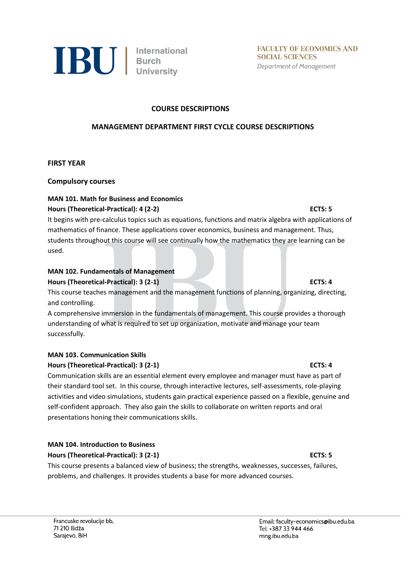

#### **COURSE DESCRIPTIONS**

#### **MANAGEMENT DEPARTMENT FIRST CYCLE COURSE DESCRIPTIONS**

**FIRST YEAR**

**Compulsory courses** 

### **MAN 101. Math for Business and Economics**

### **Hours (Theoretical-Practical): 4 (2-2) ECTS: 5**

It begins with pre-calculus topics such as equations, functions and matrix algebra with applications of mathematics of finance. These applications cover economics, business and management. Thus, students throughout this course will see continually how the mathematics they are learning can be used.

# **MAN 102. Fundamentals of Management**

# **Hours (Theoretical-Practical): 3 (2-1) ECTS: 4**

This course teaches management and the management functions of planning, organizing, directing, and controlling.

A comprehensive immersion in the fundamentals of management. This course provides a thorough understanding of what is required to set up organization, motivate and manage your team successfully.

### **MAN 103. Communication Skills**

### **Hours (Theoretical-Practical): 3 (2-1) ECTS: 4**

Communication skills are an essential element every employee and manager must have as part of their standard tool set. In this course, through interactive lectures, self-assessments, role-playing activities and video simulations, students gain practical experience passed on a flexible, genuine and self-confident approach. They also gain the skills to collaborate on written reports and oral presentations honing their communications skills.

### **MAN 104. Introduction to Business**

#### **Hours (Theoretical-Practical): 3 (2-1) ECTS: 5**

This course presents a balanced view of business; the strengths, weaknesses, successes, failures, problems, and challenges. It provides students a base for more advanced courses.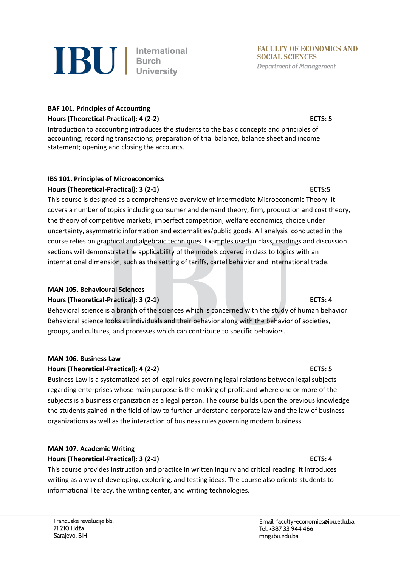

### **BAF 101. Principles of Accounting Hours (Theoretical-Practical): 4 (2-2) ECTS: 5**

Introduction to accounting introduces the students to the basic concepts and principles of accounting; recording transactions; preparation of trial balance, balance sheet and income statement; opening and closing the accounts.

### **IBS 101. Principles of Microeconomics Hours (Theoretical-Practical): 3 (2-1) ECTS:5**

This course is designed as a comprehensive overview of intermediate Microeconomic Theory. It covers a number of topics including consumer and demand theory, firm, production and cost theory, the theory of competitive markets, imperfect competition, welfare economics, choice under uncertainty, asymmetric information and externalities/public goods. All analysis conducted in the course relies on graphical and algebraic techniques. Examples used in class, readings and discussion sections will demonstrate the applicability of the models covered in class to topics with an international dimension, such as the setting of tariffs, cartel behavior and international trade.

### **MAN 105. Behavioural Sciences**

### **Hours (Theoretical-Practical): 3 (2-1) ECTS: 4**

Behavioral science is a branch of the sciences which is concerned with the study of human behavior. Behavioral science looks at individuals and their behavior along with the behavior of societies, groups, and cultures, and processes which can contribute to specific behaviors.

### **MAN 106. Business Law**

### **Hours (Theoretical-Practical): 4 (2-2) ECTS: 5**

Business Law is a systematized set of legal rules governing legal relations between legal subjects regarding enterprises whose main purpose is the making of profit and where one or more of the subjects is a business organization as a legal person. The course builds upon the previous knowledge the students gained in the field of law to further understand corporate law and the law of business organizations as well as the interaction of business rules governing modern business.

### **MAN 107. Academic Writing**

### **Hours (Theoretical-Practical): 3 (2-1) ECTS: 4**

This course provides instruction and practice in written inquiry and critical reading. It introduces writing as a way of developing, exploring, and testing ideas. The course also orients students to informational literacy, the writing center, and writing technologies.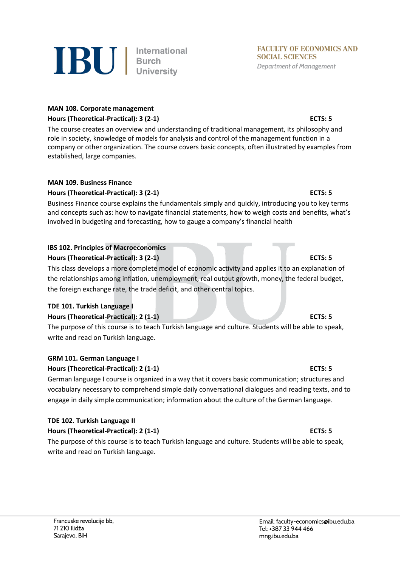

# **IBU** | International

#### **MAN 108. Corporate management Hours (Theoretical-Practical): 3 (2-1) ECTS: 5**

The course creates an overview and understanding of traditional management, its philosophy and role in society, knowledge of models for analysis and control of the management function in a company or other organization. The course covers basic concepts, often illustrated by examples from established, large companies.

### **MAN 109. Business Finance**

### **Hours (Theoretical-Practical): 3 (2-1) ECTS: 5**

Business Finance course explains the fundamentals simply and quickly, introducing you to key terms and concepts such as: how to navigate financial statements, how to weigh costs and benefits, what's involved in budgeting and forecasting, how to gauge a company's financial health

# **IBS 102. Principles of Macroeconomics**

# **Hours (Theoretical-Practical): 3 (2-1) ECTS: 5**

This class develops a more complete model of economic activity and applies it to an explanation of the relationships among inflation, unemployment, real output growth, money, the federal budget, the foreign exchange rate, the trade deficit, and other central topics.

# **TDE 101. Turkish Language I**

# **Hours (Theoretical-Practical): 2 (1-1) ECTS: 5**

The purpose of this course is to teach Turkish language and culture. Students will be able to speak, write and read on Turkish language.

# **GRM 101. German Language I**

# **Hours (Theoretical-Practical): 2 (1-1) ECTS: 5**

German language I course is organized in a way that it covers basic communication; structures and vocabulary necessary to comprehend simple daily conversational dialogues and reading texts, and to engage in daily simple communication; information about the culture of the German language.

# **TDE 102. Turkish Language II**

# **Hours (Theoretical-Practical): 2 (1-1) ECTS: 5**

The purpose of this course is to teach Turkish language and culture. Students will be able to speak, write and read on Turkish language.

#### Email: faculty-economics@ibu.edu.ba Tel: +387 33 944 466 mng.ibu.edu.ba

**FACULTY OF ECONOMICS AND SOCIAL SCIENCES Department of Management**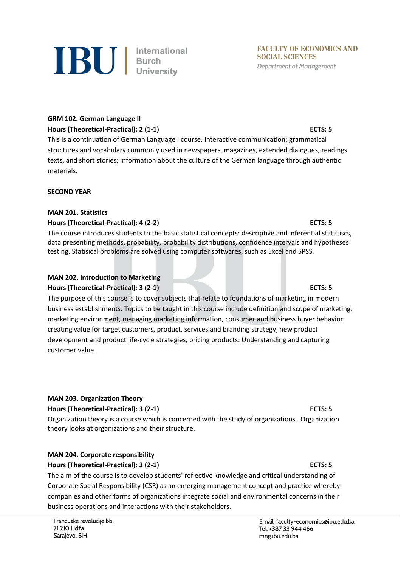

# **GRM 102. German Language II**

### **Hours (Theoretical-Practical): 2 (1-1) ECTS: 5**

This is a continuation of German Language I course. Interactive communication; grammatical structures and vocabulary commonly used in newspapers, magazines, extended dialogues, readings texts, and short stories; information about the culture of the German language through authentic materials.

### **SECOND YEAR**

### **MAN 201. Statistics**

### **Hours (Theoretical-Practical): 4 (2-2) ECTS: 5**

The course introduces students to the basic statistical concepts: descriptive and inferential statatiscs, data presenting methods, probability, probability distributions, confidence intervals and hypotheses testing. Statisical problems are solved using computer softwares, such as Excel and SPSS.

#### **MAN 202. Introduction to Marketing Hours (Theoretical-Practical): 3 (2-1) ECTS: 5**

The purpose of this course is to cover subjects that relate to foundations of marketing in modern business establishments. Topics to be taught in this course include definition and scope of marketing, marketing environment, managing marketing information, consumer and business buyer behavior, creating value for target customers, product, services and branding strategy, new product development and product life-cycle strategies, pricing products: Understanding and capturing customer value.

### **MAN 203. Organization Theory**

### **Hours (Theoretical-Practical): 3 (2-1) ECTS: 5**

Organization theory is a course which is concerned with the study of organizations. Organization theory looks at organizations and their structure.

### **MAN 204. Corporate responsibility**

### **Hours (Theoretical-Practical): 3 (2-1) ECTS: 5**

The aim of the course is to develop students' reflective knowledge and critical understanding of Corporate Social Responsibility (CSR) as an emerging management concept and practice whereby companies and other forms of organizations integrate social and environmental concerns in their business operations and interactions with their stakeholders.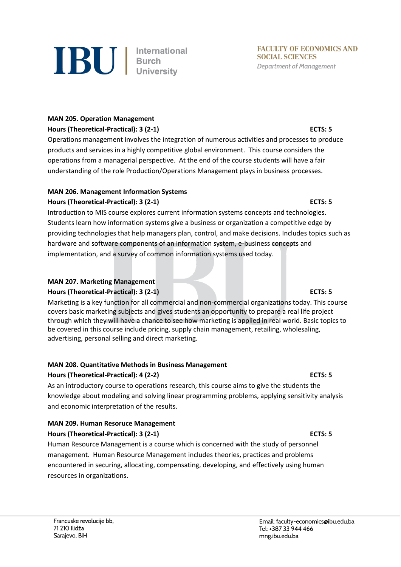

#### **MAN 205. Operation Management**

#### **Hours (Theoretical-Practical): 3 (2-1) ECTS: 5**

Operations management involves the integration of numerous activities and processes to produce products and services in a highly competitive global environment. This course considers the operations from a managerial perspective. At the end of the course students will have a fair understanding of the role Production/Operations Management plays in business processes.

#### **MAN 206. Management Information Systems**

### **Hours (Theoretical-Practical): 3 (2-1) ECTS: 5**

Introduction to MIS course explores current information systems concepts and technologies. Students learn how information systems give a business or organization a competitive edge by providing technologies that help managers plan, control, and make decisions. Includes topics such as hardware and software components of an information system, e-business concepts and implementation, and a survey of common information systems used today.

#### **MAN 207. Marketing Management**

### **Hours (Theoretical-Practical): 3 (2-1) ECTS: 5**

Marketing is a key function for all commercial and non-commercial organizations today. This course covers basic marketing subjects and gives students an opportunity to prepare a real life project through which they will have a chance to see how marketing is applied in real world. Basic topics to be covered in this course include pricing, supply chain management, retailing, wholesaling, advertising, personal selling and direct marketing.

#### **MAN 208. Quantitative Methods in Business Management**

### **Hours (Theoretical-Practical): 4 (2-2) ECTS: 5**

As an introductory course to operations research, this course aims to give the students the knowledge about modeling and solving linear programming problems, applying sensitivity analysis and economic interpretation of the results.

#### **MAN 209. Human Resoruce Management Hours (Theoretical-Practical): 3 (2-1) ECTS: 5**

Human Resource Management is a course which is concerned with the study of personnel management. Human Resource Management includes theories, practices and problems encountered in securing, allocating, compensating, developing, and effectively using human resources in organizations.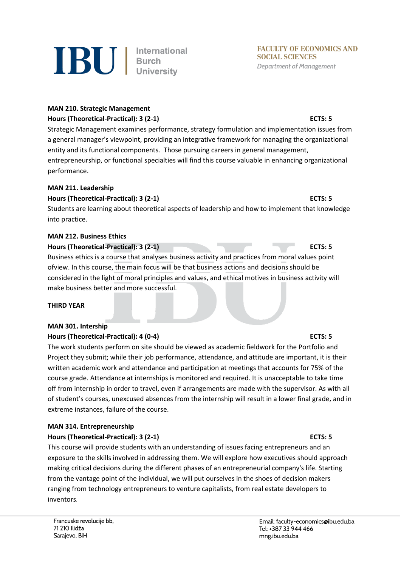

### **MAN 210. Strategic Management Hours (Theoretical-Practical): 3 (2-1) ECTS: 5**

Strategic Management examines performance, strategy formulation and implementation issues from a general manager's viewpoint, providing an integrative framework for managing the organizational entity and its functional components. Those pursuing careers in general management, entrepreneurship, or functional specialties will find this course valuable in enhancing organizational performance.

### **MAN 211. Leadership**

### **Hours (Theoretical-Practical): 3 (2-1) ECTS: 5**

Students are learning about theoretical aspects of leadership and how to implement that knowledge into practice.

#### **MAN 212. Business Ethics**

#### **Hours (Theoretical-Practical): 3** (2-1) **ECTS: 5**

Business ethics is a course that analyses business activity and practices from moral values point ofview. In this course, the main focus will be that business actions and decisions should be considered in the light of moral principles and values, and ethical motives in business activity will make business better and more successful.

#### **THIRD YEAR**

#### **MAN 301. Intership**

#### **Hours (Theoretical-Practical): 4 (0-4) ECTS: 5**

The work students perform on site should be viewed as academic fieldwork for the Portfolio and Project they submit; while their job performance, attendance, and attitude are important, it is their written academic work and attendance and participation at meetings that accounts for 75% of the course grade. Attendance at internships is monitored and required. It is unacceptable to take time off from internship in order to travel, even if arrangements are made with the supervisor. As with all of student's courses, unexcused absences from the internship will result in a lower final grade, and in extreme instances, failure of the course.

### **MAN 314. Entrepreneurship**

### **Hours (Theoretical-Practical): 3 (2-1) ECTS: 5**

This course will provide students with an understanding of issues facing entrepreneurs and an exposure to the skills involved in addressing them. We will explore how executives should approach making critical decisions during the different phases of an entrepreneurial company's life. Starting from the vantage point of the individual, we will put ourselves in the shoes of decision makers ranging from technology entrepreneurs to venture capitalists, from real estate developers to inventors.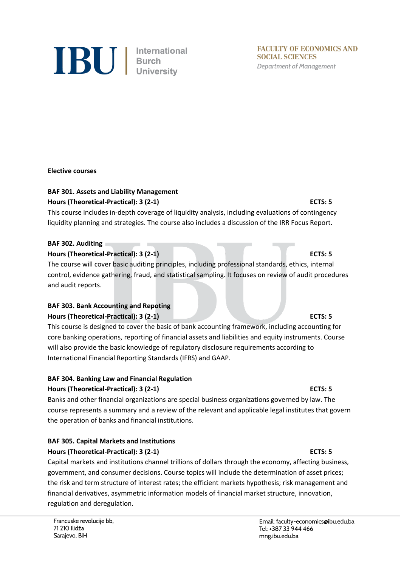

**FACULTY OF ECONOMICS AND SOCIAL SCIENCES Department of Management** 

#### **Elective courses**

### **BAF 301. Assets and Liability Management**

#### **Hours (Theoretical-Practical): 3 (2-1) ECTS: 5**

This course includes in-depth coverage of liquidity analysis, including evaluations of contingency liquidity planning and strategies. The course also includes a discussion of the IRR Focus Report.

#### **BAF 302. Auditing**

#### **Hours (Theoretical-Practical): 3 (2-1) ECTS: 5**

The course will cover basic auditing principles, including professional standards, ethics, internal control, evidence gathering, fraud, and statistical sampling. It focuses on review of audit procedures and audit reports.

### **BAF 303. Bank Accounting and Repoting**

#### **Hours (Theoretical-Practical): 3 (2-1) ECTS: 5**

This course is designed to cover the basic of bank accounting framework, including accounting for core banking operations, reporting of financial assets and liabilities and equity instruments. Course will also provide the basic knowledge of regulatory disclosure requirements according to International Financial Reporting Standards (IFRS) and GAAP.

#### **BAF 304. Banking Law and Financial Regulation**

#### **Hours (Theoretical-Practical): 3 (2-1) ECTS: 5**

Banks and other financial organizations are special business organizations governed by law. The course represents a summary and a review of the relevant and applicable legal institutes that govern the operation of banks and financial institutions.

### **BAF 305. Capital Markets and Institutions**

### **Hours (Theoretical-Practical): 3 (2-1) ECTS: 5**

Capital markets and institutions channel trillions of dollars through the economy, affecting business, government, and consumer decisions. Course topics will include the determination of asset prices; the risk and term structure of interest rates; the efficient markets hypothesis; risk management and financial derivatives, asymmetric information models of financial market structure, innovation, regulation and deregulation.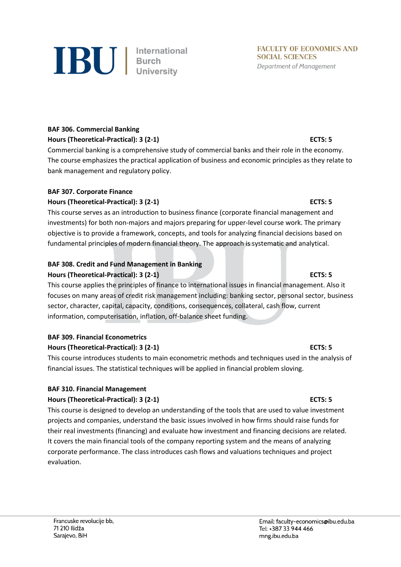evaluation.

**Hours (Theoretical-Practical): 3 (2-1) ECTS: 5** This course is designed to develop an understanding of the tools that are used to value investment projects and companies, understand the basic issues involved in how firms should raise funds for their real investments (financing) and evaluate how investment and financing decisions are related.

It covers the main financial tools of the company reporting system and the means of analyzing corporate performance. The class introduces cash flows and valuations techniques and project

**BAF 309. Financial Econometrics Hours (Theoretical-Practical): 3 (2-1) ECTS: 5** This course introduces students to main econometric methods and techniques used in the analysis of

# **BAF 307. Corporate Finance**

bank management and regulatory policy.

**BAF 306. Commercial Banking**

**Hours (Theoretical-Practical): 3 (2-1) ECTS: 5** This course serves as an introduction to business finance (corporate financial management and investments) for both non-majors and majors preparing for upper-level course work. The primary objective is to provide a framework, concepts, and tools for analyzing financial decisions based on fundamental principles of modern financial theory. The approach is systematic and analytical.

The course emphasizes the practical application of business and economic principles as they relate to

# **BAF 308. Credit and Fund Management in Banking**

# **Hours (Theoretical-Practical): 3 (2-1) ECTS: 5**

This course applies the principles of finance to international issues in financial management. Also it focuses on many areas of credit risk management including: banking sector, personal sector, business sector, character, capital, capacity, conditions, consequences, collateral, cash flow, current information, computerisation, inflation, off-balance sheet funding.

financial issues. The statistical techniques will be applied in financial problem sloving.

# **BAF 310. Financial Management**

Email: faculty-economics@ibu.edu.ba

Tel: +387 33 944 466

mng.ibu.edu.ba

#### **Hours (Theoretical-Practical): 3 (2-1) ECTS: 5** Commercial banking is a comprehensive study of commercial banks and their role in the economy.



#### **FACULTY OF ECONOMICS AND SOCIAL SCIENCES Department of Management**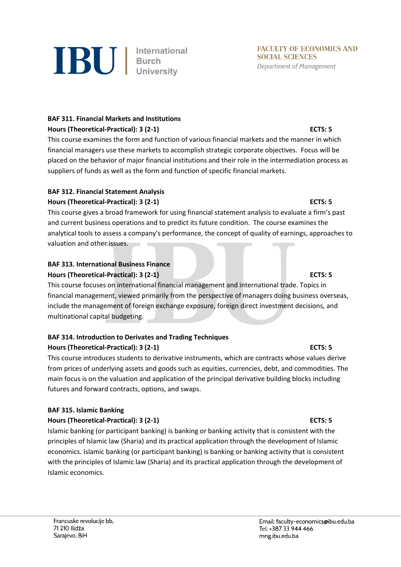

### **BAF 311. Financial Markets and Institutions**

### **Hours (Theoretical-Practical): 3 (2-1) ECTS: 5**

This course examines the form and function of various financial markets and the manner in which financial managers use these markets to accomplish strategic corporate objectives. Focus will be placed on the behavior of major financial institutions and their role in the intermediation process as suppliers of funds as well as the form and function of specific financial markets.

# **BAF 312. Financial Statement Analysis**

# **Hours (Theoretical-Practical): 3 (2-1) ECTS: 5**

This course gives a broad framework for using financial statement analysis to evaluate a firm's past and current business operations and to predict its future condition. The course examines the analytical tools to assess a company's performance, the concept of quality of earnings, approaches to valuation and other issues.

#### **BAF 313. International Business Finance Hours (Theoretical-Practical): 3 (2-1) ECTS: 5**

This course focuses on international financial management and international trade. Topics in financial management, viewed primarily from the perspective of managers doing business overseas, include the management of foreign exchange exposure, foreign direct investment decisions, and multinational capital budgeting.

#### **BAF 314. Introduction to Derivates and Trading Techniques Hours (Theoretical-Practical): 3 (2-1) ECTS: 5**

This course introduces students to derivative instruments, which are contracts whose values derive from prices of underlying assets and goods such as equities, currencies, debt, and commodities. The main focus is on the valuation and application of the principal derivative building blocks including futures and forward contracts, options, and swaps.

### **BAF 315. Islamic Banking**

### **Hours (Theoretical-Practical): 3 (2-1) ECTS: 5**

Islamic banking (or participant banking) is banking or banking activity that is consistent with the principles of Islamic law (Sharia) and its practical application through the development of Islamic economics. Islamic banking (or participant banking) is banking or banking activity that is consistent with the principles of Islamic law (Sharia) and its practical application through the development of Islamic economics.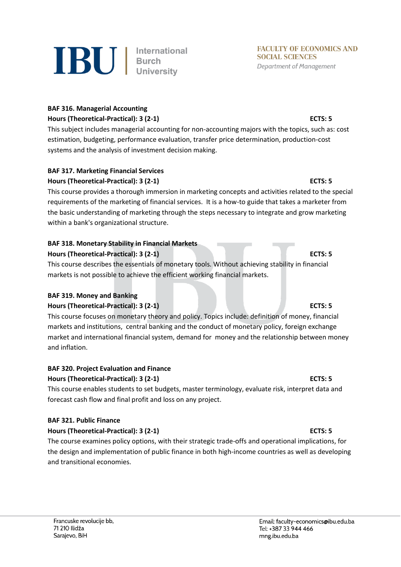

### **BAF 316. Managerial Accounting Hours (Theoretical-Practical): 3 (2-1) ECTS: 5**

This subject includes managerial accounting for non-accounting majors with the topics, such as: cost estimation, budgeting, performance evaluation, transfer price determination, production-cost systems and the analysis of investment decision making.

# **BAF 317. Marketing Financial Services**

# **Hours (Theoretical-Practical): 3 (2-1) ECTS: 5**

This course provides a thorough immersion in marketing concepts and activities related to the special requirements of the marketing of financial services. It is a how-to guide that takes a marketer from the basic understanding of marketing through the steps necessary to integrate and grow marketing within a bank's organizational structure.

### **BAF 318. Monetary Stability in Financial Markets**

### **Hours (Theoretical-Practical): 3 (2-1) ECTS: 5**

This course describes the essentials of monetary tools. Without achieving stability in financial markets is not possible to achieve the efficient working financial markets.

### **BAF 319. Money and Banking**

### **Hours (Theoretical-Practical): 3 (2-1) ECTS: 5**

This course focuses on monetary theory and policy. Topics include: definition of money, financial markets and institutions, central banking and the conduct of monetary policy, foreign exchange market and international financial system, demand for money and the relationship between money and inflation.

# **BAF 320. Project Evaluation and Finance**

### **Hours (Theoretical-Practical): 3 (2-1) ECTS: 5**

This course enables students to set budgets, master terminology, evaluate risk, interpret data and forecast cash flow and final profit and loss on any project.

### **BAF 321. Public Finance**

# **Hours (Theoretical-Practical): 3 (2-1) ECTS: 5**

The course examines policy options, with their strategic trade-offs and operational implications, for the design and implementation of public finance in both high-income countries as well as developing and transitional economies.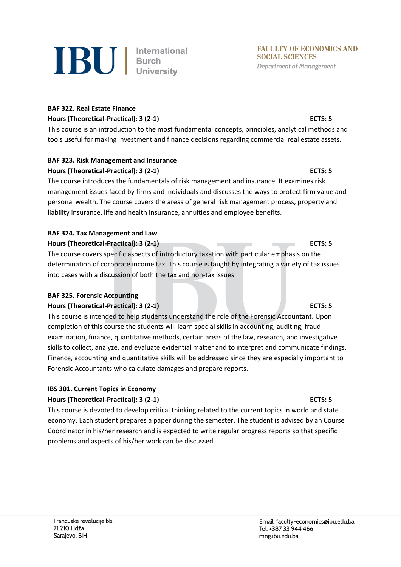

### **BAF 322. Real Estate Finance Hours (Theoretical-Practical): 3 (2-1) ECTS: 5**

This course is an introduction to the most fundamental concepts, principles, analytical methods and tools useful for making investment and finance decisions regarding commercial real estate assets.

### **BAF 323. Risk Management and Insurance**

#### **Hours (Theoretical-Practical): 3 (2-1) ECTS: 5**

The course introduces the fundamentals of risk management and insurance. It examines risk management issues faced by firms and individuals and discusses the ways to protect firm value and personal wealth. The course covers the areas of general risk management process, property and liability insurance, life and health insurance, annuities and employee benefits.

# **BAF 324. Tax Management and Law**

### **Hours (Theoretical-Practical): 3 (2-1) ECTS: 5**

The course covers specific aspects of introductory taxation with particular emphasis on the determination of corporate income tax. This course is taught by integrating a variety of tax issues into cases with a discussion of both the tax and non-tax issues.

### **BAF 325. Forensic Accounting**

### **Hours (Theoretical-Practical): 3 (2-1) ECTS: 5**

This course is intended to help students understand the role of the Forensic Accountant. Upon completion of this course the students will learn special skills in accounting, auditing, fraud examination, finance, quantitative methods, certain areas of the law, research, and investigative skills to collect, analyze, and evaluate evidential matter and to interpret and communicate findings. Finance, accounting and quantitative skills will be addressed since they are especially important to Forensic Accountants who calculate damages and prepare reports.

### **IBS 301. Current Topics in Economy**

### **Hours (Theoretical-Practical): 3 (2-1) ECTS: 5**

This course is devoted to develop critical thinking related to the current topics in world and state economy. Each student prepares a paper during the semester. The student is advised by an Course Coordinator in his/her research and is expected to write regular progress reports so that specific problems and aspects of his/her work can be discussed.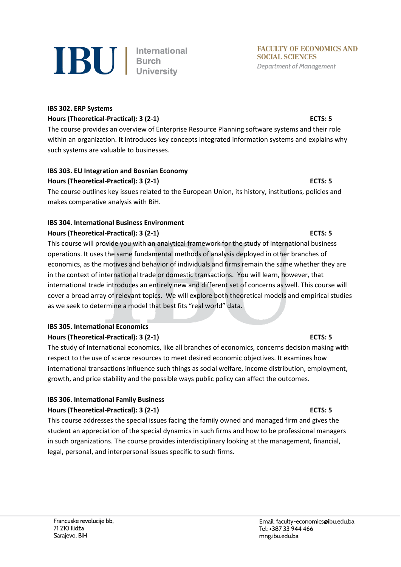

### **IBS 302. ERP Systems Hours (Theoretical-Practical): 3 (2-1) ECTS: 5**

The course provides an overview of Enterprise Resource Planning software systems and their role within an organization. It introduces key concepts integrated information systems and explains why such systems are valuable to businesses.

# **IBS 303. EU Integration and Bosnian Economy**

### **Hours (Theoretical-Practical): 3 (2-1) ECTS: 5**

The course outlines key issues related to the European Union, its history, institutions, policies and makes comparative analysis with BiH.

### **IBS 304. International Business Environment**

### **Hours (Theoretical-Practical): 3 (2-1) ECTS: 5**

This course will provide you with an analytical framework for the study of international business operations. It uses the same fundamental methods of analysis deployed in other branches of economics, as the motives and behavior of individuals and firms remain the same whether they are in the context of international trade or domestic transactions. You will learn, however, that international trade introduces an entirely new and different set of concerns as well. This course will cover a broad array of relevant topics. We will explore both theoretical models and empirical studies as we seek to determine a model that best fits "real world" data.

### **IBS 305. International Economics**

### **Hours (Theoretical-Practical): 3 (2-1) ECTS: 5**

The study of International economics, like all branches of economics, concerns decision making with respect to the use of scarce resources to meet desired economic objectives. It examines how international transactions influence such things as social welfare, income distribution, employment, growth, and price stability and the possible ways public policy can affect the outcomes.

### **IBS 306. International Family Business**

### **Hours (Theoretical-Practical): 3 (2-1) ECTS: 5**

This course addresses the special issues facing the family owned and managed firm and gives the student an appreciation of the special dynamics in such firms and how to be professional managers in such organizations. The course provides interdisciplinary looking at the management, financial, legal, personal, and interpersonal issues specific to such firms.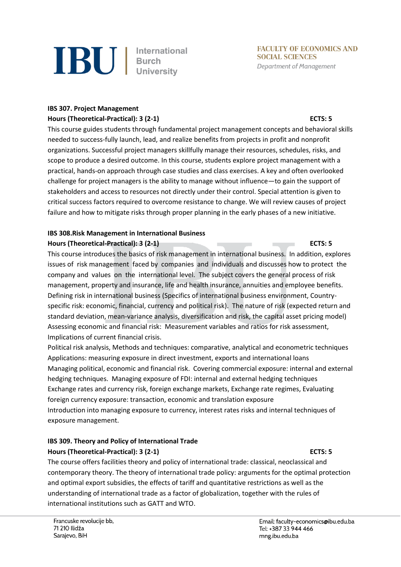

**FACULTY OF ECONOMICS AND SOCIAL SCIENCES Department of Management** 

### **IBS 307. Project Management Hours (Theoretical-Practical): 3 (2-1) ECTS: 5**

This course guides students through fundamental project management concepts and behavioral skills needed to success-fully launch, lead, and realize benefits from projects in profit and nonprofit organizations. Successful project managers skillfully manage their resources, schedules, risks, and scope to produce a desired outcome. In this course, students explore project management with a practical, hands-on approach through case studies and class exercises. A key and often overlooked challenge for project managers is the ability to manage without influence—to gain the support of stakeholders and access to resources not directly under their control. Special attention is given to critical success factors required to overcome resistance to change. We will review causes of project failure and how to mitigate risks through proper planning in the early phases of a new initiative.

### **IBS 308.Risk Management in International Business Hours (Theoretical-Practical): 3 (2-1) ECTS: 5**

This course introduces the basics of risk management in international business. In addition, explores issues of risk management faced by companies and individuals and discusses how to protect the company and values on the international level. The subject covers the general process of risk management, property and insurance, life and health insurance, annuities and employee benefits. Defining risk in international business (Specifics of international business environment, Countryspecific risk: economic, financial, currency and political risk). The nature of risk (expected return and standard deviation, mean-variance analysis, diversification and risk, the capital asset pricing model) Assessing economic and financial risk: Measurement variables and ratios for risk assessment, Implications of current financial crisis.

Political risk analysis, Methods and techniques: comparative, analytical and econometric techniques Applications: measuring exposure in direct investment, exports and international loans Managing political, economic and financial risk. Covering commercial exposure: internal and external hedging techniques. Managing exposure of FDI: internal and external hedging techniques Exchange rates and currency risk, foreign exchange markets, Exchange rate regimes, Evaluating foreign currency exposure: transaction, economic and translation exposure Introduction into managing exposure to currency, interest rates risks and internal techniques of exposure management.

# **IBS 309. Theory and Policy of International Trade Hours (Theoretical-Practical): 3 (2-1) ECTS: 5**

The course offers facilities theory and policy of international trade: classical, neoclassical and contemporary theory. The theory of international trade policy: arguments for the optimal protection and optimal export subsidies, the effects of tariff and quantitative restrictions as well as the understanding of international trade as a factor of globalization, together with the rules of international institutions such as GATT and WTO.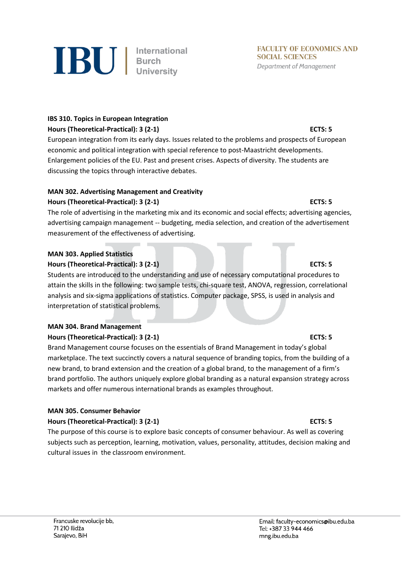

# **IBS 310. Topics in European Integration**

### **Hours (Theoretical-Practical): 3 (2-1) ECTS: 5**

European integration from its early days. Issues related to the problems and prospects of European economic and political integration with special reference to post-Maastricht developments. Enlargement policies of the EU. Past and present crises. Aspects of diversity. The students are discussing the topics through interactive debates.

# **MAN 302. Advertising Management and Creativity**

### **Hours (Theoretical-Practical): 3 (2-1) ECTS: 5**

The role of advertising in the marketing mix and its economic and social effects; advertising agencies, advertising campaign management -- budgeting, media selection, and creation of the advertisement measurement of the effectiveness of advertising.

### **MAN 303. Applied Statistics**

### **Hours (Theoretical-Practical): 3 (2-1) ECTS: 5**

Students are introduced to the understanding and use of necessary computational procedures to attain the skills in the following: two sample tests, chi-square test, ANOVA, regression, correlational analysis and six-sigma applications of statistics. Computer package, SPSS, is used in analysis and interpretation of statistical problems.

### **MAN 304. Brand Management**

### **Hours (Theoretical-Practical): 3 (2-1) ECTS: 5**

Brand Management course focuses on the essentials of Brand Management in today's global marketplace. The text succinctly covers a natural sequence of branding topics, from the building of a new brand, to brand extension and the creation of a global brand, to the management of a firm's brand portfolio. The authors uniquely explore global branding as a natural expansion strategy across markets and offer numerous international brands as examples throughout.

### **MAN 305. Consumer Behavior**

### **Hours (Theoretical-Practical): 3 (2-1) ECTS: 5**

The purpose of this course is to explore basic concepts of consumer behaviour. As well as covering subjects such as perception, learning, motivation, values, personality, attitudes, decision making and cultural issues in the classroom environment.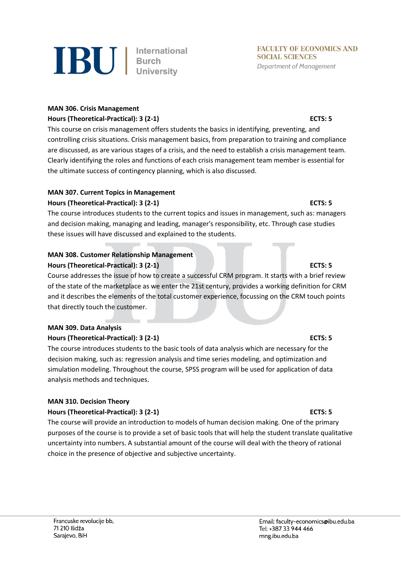

### **MAN 306. Crisis Management Hours (Theoretical-Practical): 3 (2-1) ECTS: 5**

This course on crisis management offers students the basics in identifying, preventing, and controlling crisis situations. Crisis management basics, from preparation to training and compliance are discussed, as are various stages of a crisis, and the need to establish a crisis management team. Clearly identifying the roles and functions of each crisis management team member is essential for the ultimate success of contingency planning, which is also discussed.

### **MAN 307. Current Topics in Management**

### **Hours (Theoretical-Practical): 3 (2-1) ECTS: 5**

The course introduces students to the current topics and issues in management, such as: managers and decision making, managing and leading, manager's responsibility, etc. Through case studies these issues will have discussed and explained to the students.

# **MAN 308. Customer Relationship Management**

### **Hours (Theoretical-Practical): 3 (2-1) ECTS: 5**

Course addresses the issue of how to create a successful CRM program. It starts with a brief review of the state of the marketplace as we enter the 21st century, provides a working definition for CRM and it describes the elements of the total customer experience, focussing on the CRM touch points that directly touch the customer.

# **MAN 309. Data Analysis**

### **Hours (Theoretical-Practical): 3 (2-1) ECTS: 5**

The course introduces students to the basic tools of data analysis which are necessary for the decision making, such as: regression analysis and time series modeling, and optimization and simulation modeling. Throughout the course, SPSS program will be used for application of data analysis methods and techniques.

### **MAN 310. Decision Theory**

### **Hours (Theoretical-Practical): 3 (2-1) ECTS: 5**

The course will provide an introduction to models of human decision making. One of the primary purposes of the course is to provide a set of basic tools that will help the student translate qualitative uncertainty into numbers. A substantial amount of the course will deal with the theory of rational choice in the presence of objective and subjective uncertainty.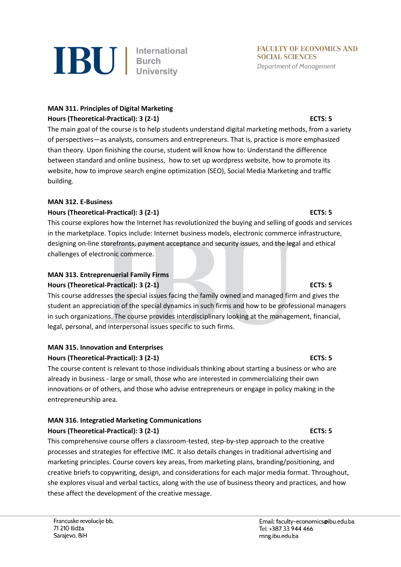

**IBU** | International

### **MAN 311. Principles of Digital Marketing Hours (Theoretical-Practical): 3 (2-1) ECTS: 5**

The main goal of the course is to help students understand digital marketing methods, from a variety of perspectives—as analysts, consumers and entrepreneurs. That is, practice is more emphasized than theory. Upon finishing the course, student will know how to: Understand the difference between standard and online business, how to set up wordpress website, how to promote its website, how to improve search engine optimization (SEO), Social Media Marketing and traffic building.

### **MAN 312. E-Business**

### **Hours (Theoretical-Practical): 3 (2-1) ECTS: 5**

This course explores how the Internet has revolutionized the buying and selling of goods and services in the marketplace. Topics include: Internet business models, electronic commerce infrastructure, designing on-line storefronts, payment acceptance and security issues, and the legal and ethical challenges of electronic commerce.

# **MAN 313. Entreprenuerial Family Firms Hours (Theoretical-Practical): 3 (2-1) ECTS: 5**

This course addresses the special issues facing the family owned and managed firm and gives the student an appreciation of the special dynamics in such firms and how to be professional managers in such organizations. The course provides interdisciplinary looking at the management, financial, legal, personal, and interpersonal issues specific to such firms.

# **MAN 315. Innovation and Enterprises**

### **Hours (Theoretical-Practical): 3 (2-1) ECTS: 5**

The course content is relevant to those individuals thinking about starting a business or who are already in business - large or small, those who are interested in commercializing their own innovations or of others, and those who advise entrepreneurs or engage in policy making in the entrepreneurship area.

### **MAN 316. Integratied Marketing Communications Hours (Theoretical-Practical): 3 (2-1) ECTS: 5**

This comprehensive course offers a classroom-tested, step-by-step approach to the creative processes and strategies for effective IMC. It also details changes in traditional advertising and marketing principles. Course covers key areas, from marketing plans, branding/positioning, and creative briefs to copywriting, design, and considerations for each major media format. Throughout, she explores visual and verbal tactics, along with the use of business theory and practices, and how these affect the development of the creative message.

**FACULTY OF ECONOMICS AND** 

**SOCIAL SCIENCES** 

**Department of Management**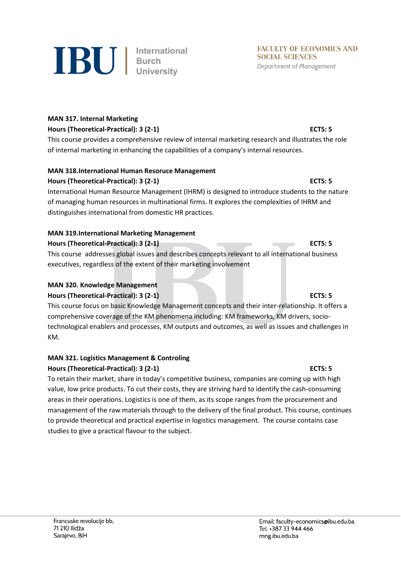

#### **MAN 317. Internal Marketing**

#### **Hours (Theoretical-Practical): 3 (2-1) ECTS: 5**

This course provides a comprehensive review of internal marketing research and illustrates the role of internal marketing in enhancing the capabilities of a company's internal resources.

### **MAN 318.International Human Resoruce Management**

### **Hours (Theoretical-Practical): 3 (2-1) ECTS: 5**

International Human Resource Management (IHRM) is designed to introduce students to the nature of managing human resources in multinational firms. It explores the complexities of IHRM and distinguishes international from domestic HR practices.

### **MAN 319.International Marketing Management**

#### **Hours (Theoretical-Practical): 3 (2-1) ECTS: 5**

This course addresses global issues and describes concepts relevant to all international business executives, regardless of the extent of their marketing involvement

#### **MAN 320. Knowledge Management Hours (Theoretical-Practical): 3 (2-1) ECTS: 5**

This course focus on basic Knowledge Management concepts and their inter-relationship. It offers a comprehensive coverage of the KM phenomena including: KM frameworks, KM drivers, sociotechnological enablers and processes, KM outputs and outcomes, as well as issues and challenges in KM.

#### **MAN 321. Logistics Management & Controling Hours (Theoretical-Practical): 3 (2-1) ECTS: 5**

To retain their market, share in today's competitive business, companies are coming up with high value, low price products. To cut their costs, they are striving hard to identify the cash-consuming areas in their operations. Logistics is one of them, as its scope ranges from the procurement and management of the raw materials through to the delivery of the final product. This course, continues to provide theoretical and practical expertise in logistics management. The course contains case studies to give a practical flavour to the subject.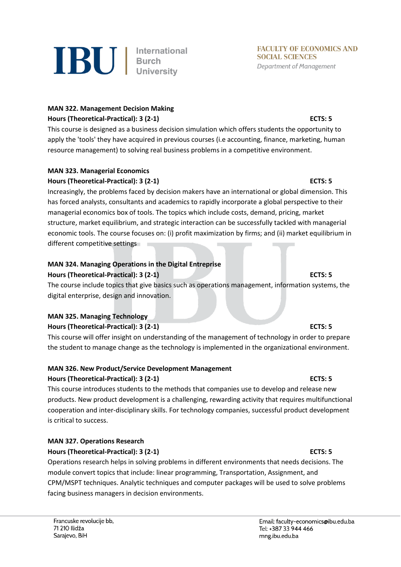

### **MAN 322. Management Decision Making Hours (Theoretical-Practical): 3 (2-1) ECTS: 5**

This course is designed as a business decision simulation which offers students the opportunity to apply the 'tools' they have acquired in previous courses (i.e accounting, finance, marketing, human resource management) to solving real business problems in a competitive environment.

### **MAN 323. Managerial Economics**

#### **Hours (Theoretical-Practical): 3 (2-1) ECTS: 5**

Increasingly, the problems faced by decision makers have an international or global dimension. This has forced analysts, consultants and academics to rapidly incorporate a global perspective to their managerial economics box of tools. The topics which include costs, demand, pricing, market structure, market equilibrium, and strategic interaction can be successfully tackled with managerial economic tools. The course focuses on: (i) profit maximization by firms; and (ii) market equilibrium in different competitive settings

### **MAN 324. Managing Operations in the Digital Entreprise**

#### **Hours (Theoretical-Practical): 3 (2-1) ECTS: 5**

The course include topics that give basics such as operations management, information systems, the digital enterprise, design and innovation.

#### **MAN 325. Managing Technology**

#### **Hours (Theoretical-Practical): 3 (2-1) ECTS: 5**

This course will offer insight on understanding of the management of technology in order to prepare the student to manage change as the technology is implemented in the organizational environment.

### **MAN 326. New Product/Service Development Management**

#### **Hours (Theoretical-Practical): 3 (2-1) ECTS: 5**

This course introduces students to the methods that companies use to develop and release new products. New product development is a challenging, rewarding activity that requires multifunctional cooperation and inter-disciplinary skills. For technology companies, successful product development is critical to success.

#### **MAN 327. Operations Research Hours (Theoretical-Practical): 3 (2-1) ECTS: 5**

Operations research helps in solving problems in different environments that needs decisions. The module convert topics that include: linear programming, Transportation, Assignment, and CPM/MSPT techniques. Analytic techniques and computer packages will be used to solve problems facing business managers in decision environments.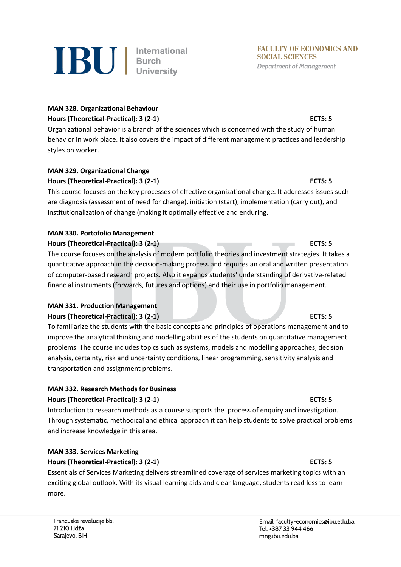

### **MAN 328. Organizational Behaviour Hours (Theoretical-Practical): 3 (2-1) ECTS: 5**

Organizational behavior is a branch of the sciences which is concerned with the study of human behavior in work place. It also covers the impact of different management practices and leadership styles on worker.

### **MAN 329. Organizational Change**

### **Hours (Theoretical-Practical): 3 (2-1) ECTS: 5**

This course focuses on the key processes of effective organizational change. It addresses issues such are diagnosis (assessment of need for change), initiation (start), implementation (carry out), and institutionalization of change (making it optimally effective and enduring.

# **MAN 330. Portofolio Management**

**Hours (Theoretical-Practical): 3 (2-1) ECTS: 5**

The course focuses on the analysis of modern portfolio theories and investment strategies. It takes a quantitative approach in the decision-making process and requires an oral and written presentation of computer-based research projects. Also it expands students' understanding of derivative-related financial instruments (forwards, futures and options) and their use in portfolio management.

### **MAN 331. Production Management**

### **Hours (Theoretical-Practical): 3 (2-1) ECTS: 5**

To familiarize the students with the basic concepts and principles of operations management and to improve the analytical thinking and modelling abilities of the students on quantitative management problems. The course includes topics such as systems, models and modelling approaches, decision analysis, certainty, risk and uncertainty conditions, linear programming, sensitivity analysis and transportation and assignment problems.

### **MAN 332. Research Methods for Business**

### **Hours (Theoretical-Practical): 3 (2-1) ECTS: 5**

Introduction to research methods as a course supports the process of enquiry and investigation. Through systematic, methodical and ethical approach it can help students to solve practical problems and increase knowledge in this area.

### **MAN 333. Services Marketing**

### **Hours (Theoretical-Practical): 3 (2-1) ECTS: 5**

Essentials of Services Marketing delivers streamlined coverage of services marketing topics with an exciting global outlook. With its visual learning aids and clear language, students read less to learn more.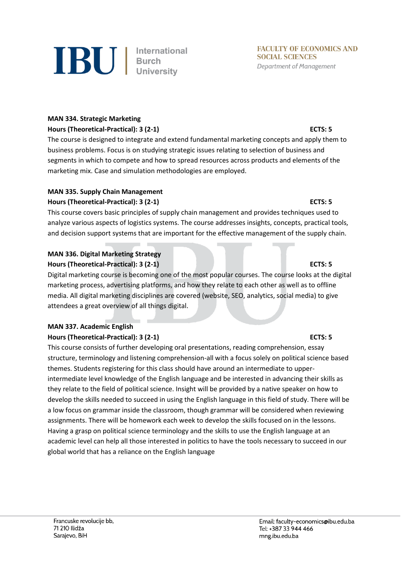

#### **MAN 334. Strategic Marketing**

### **Hours (Theoretical-Practical): 3 (2-1) ECTS: 5**

The course is designed to integrate and extend fundamental marketing concepts and apply them to business problems. Focus is on studying strategic issues relating to selection of business and segments in which to compete and how to spread resources across products and elements of the marketing mix. Case and simulation methodologies are employed.

#### **MAN 335. Supply Chain Management Hours (Theoretical-Practical): 3 (2-1) ECTS: 5**

This course covers basic principles of supply chain management and provides techniques used to analyze various aspects of logistics systems. The course addresses insights, concepts, practical tools, and decision support systems that are important for the effective management of the supply chain.

### **MAN 336. Digital Marketing Strategy Hours (Theoretical-Practical): 3 (2-1) ECTS: 5**

Digital marketing course is becoming one of the most popular courses. The course looks at the digital marketing process, advertising platforms, and how they relate to each other as well as to offline media. All digital marketing disciplines are covered (website, SEO, analytics, social media) to give attendees a great overview of all things digital.

### **MAN 337. Academic English**

### **Hours (Theoretical-Practical): 3 (2-1) ECTS: 5**

This course consists of further developing oral presentations, reading comprehension, essay structure, terminology and listening comprehension-all with a focus solely on political science based themes. Students registering for this class should have around an intermediate to upperintermediate level knowledge of the English language and be interested in advancing their skills as they relate to the field of political science. Insight will be provided by a native speaker on how to develop the skills needed to succeed in using the English language in this field of study. There will be a low focus on grammar inside the classroom, though grammar will be considered when reviewing assignments. There will be homework each week to develop the skills focused on in the lessons. Having a grasp on political science terminology and the skills to use the English language at an academic level can help all those interested in politics to have the tools necessary to succeed in our global world that has a reliance on the English language